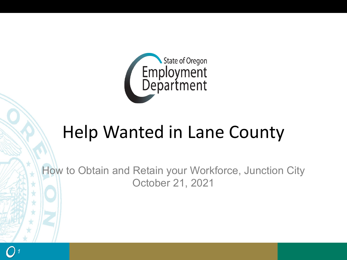

# Help Wanted in Lane County

How to Obtain and Retain your Workforce, Junction City October 21, 2021

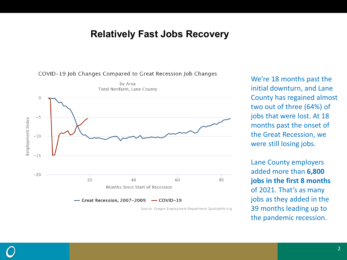#### **Relatively Fast Jobs Recovery**



Source: Oregon Employment Department QualityInfo.org

We're 18 months past the initial downturn, and Lane County has regained almost two out of three (64%) of jobs that were lost. At 18 months past the onset of the Great Recession, we were still losing jobs.

Lane County employers added more than **6,800 jobs in the first 8 months**  of 2021. That's as many jobs as they added in the 39 months leading up to the pandemic recession.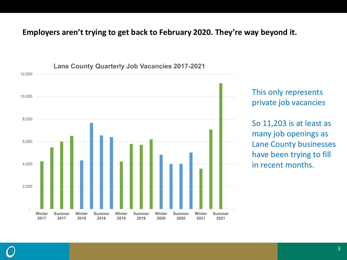#### **Employers aren't trying to get back to February 2020. They're way beyond it.**



This only represents private job vacancies

So 11,203 is at least as many job openings as Lane County businesses have been trying to fill in recent months.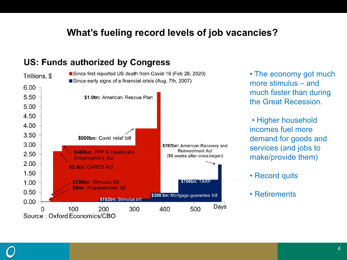### **What's fueling record levels of job vacancies?**

#### Since first reported US death from Covid-19 (Feb 28, 2020) Trillions, \$ Since early signs of a financial crisis (Aug. 7th, 2007)  $6.00$ 5.50 \$1.9tn: American Rescue Plan 5.00 4.50 4.00 3.50 \$900bn: Covid relief bill 3.00 \$787bn: American Recovery and **Reinvestment Act** \$480bn: PPP & Healthcare 2.50 (80 weeks after crisis began) **Enhancement Act** 2.00 \$2.4tn: CARES Act 1.50 \$190bn: Stimulus bill \$700bn: TARP 1.00 \$8bn: Preparedness bill 0.50 \$300 bn: Mortgage-guarantee bill \$152bn: Stimulus bill 0.00 Days 100 400 500 200 300 Source: Oxford Economics/CBO

#### **US: Funds authorized by Congress**

• The economy got much more stimulus – and much faster than during the Great Recession.

• Higher household incomes fuel more demand for goods and services (and jobs to make/provide them)

- Record quits
- Retirements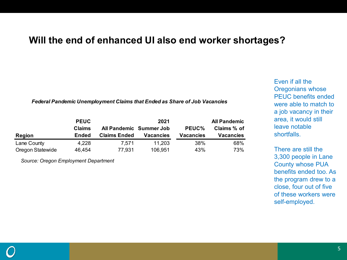#### **Will the end of enhanced UI also end worker shortages?**

*Federal Pandemic Unemployment Claims that Ended as Share of Job Vacancies*

|                  | <b>PEUC</b> |                         | <b>All Pandemic</b> |                  |                  |
|------------------|-------------|-------------------------|---------------------|------------------|------------------|
|                  | Claims      | All Pandemic Summer Job |                     | PEUC%            | Claims % of      |
| <b>Region</b>    | Ended       | <b>Claims Ended</b>     | <b>Vacancies</b>    | <b>Vacancies</b> | <b>Vacancies</b> |
| Lane County      | 4,228       | 7.571                   | 11.203              | 38%              | 68%              |
| Oregon Statewide | 46,454      | 77,931                  | 106,951             | 43%              | 73%              |

*Source: Oregon Employment Department* 

Even if all the Oregonians whose PEUC benefits ended were able to match to a job vacancy in their area, it would still leave notable shortfalls.

There are still the 3,300 people in Lane County whose PUA benefits ended too. As the program drew to a close, four out of five of these workers were self-employed.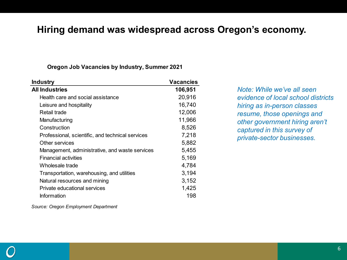#### **Hiring demand was widespread across Oregon's economy.**

#### **Oregon Job Vacancies by Industry, Summer 2021**

| <b>Industry</b>                                  | <b>Vacancies</b> |
|--------------------------------------------------|------------------|
| <b>All Industries</b>                            | 106,951          |
| Health care and social assistance                | 20,916           |
| Leisure and hospitality                          | 16,740           |
| Retail trade                                     | 12,006           |
| Manufacturing                                    | 11,966           |
| Construction                                     | 8,526            |
| Professional, scientific, and technical services | 7,218            |
| Other services                                   | 5,882            |
| Management, administrative, and waste services   | 5,455            |
| <b>Financial activities</b>                      | 5,169            |
| Wholesale trade                                  | 4,784            |
| Transportation, warehousing, and utilities       | 3,194            |
| Natural resources and mining                     | 3,152            |
| Private educational services                     | 1,425            |
| Information                                      | 198              |
|                                                  |                  |

*Note: While we've all seen evidence of local school districts hiring as in-person classes resume, those openings and other government hiring aren't captured in this survey of private-sector businesses.*

*Source: Oregon Employment Department*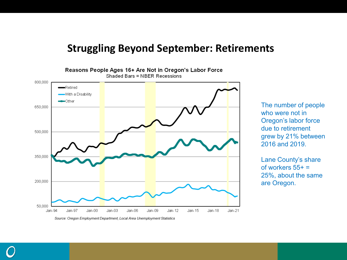### **Struggling Beyond September: Retirements**



The number of people who were not in Oregon's labor force due to retirement grew by 21% between 2016 and 2019.

Lane County's share of workers  $55+ =$ 25%, about the same are Oregon.

Source: Oregon Employment Department, Local Area Unemployment Statistics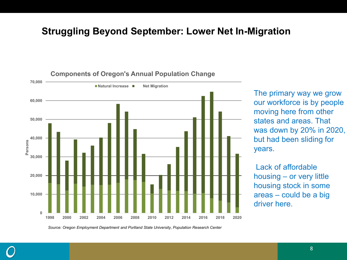#### **Struggling Beyond September: Lower Net In-Migration**



**Components of Oregon's Annual Population Change**

The primary way we grow our workforce is by people moving here from other states and areas. That was down by 20% in 2020, but had been sliding for years.

Lack of affordable housing – or very little housing stock in some areas – could be a big driver here.

*Source: Oregon Employment Department and Portland State University, Population Research Center*

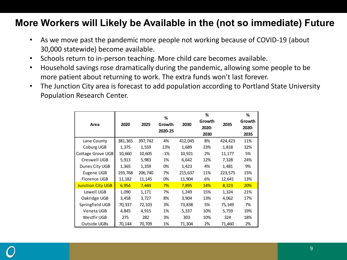### **More Workers will Likely be Available in the (not so immediate) Future**

- As we move past the pandemic more people not working because of COVID-19 (about 30,000 statewide) become available.
- Schools return to in-person teaching. More child care becomes available.
- Household savings rose dramatically during the pandemic, allowing some people to be more patient about returning to work. The extra funds won't last forever.
- The Junction City area is forecast to add population according to Portland State University Population Research Center.

|                          | 2020    | 2025    | %<br>Growth<br>2020-25 |         | %      |               | %      |
|--------------------------|---------|---------|------------------------|---------|--------|---------------|--------|
| Area                     |         |         |                        | 2030    | Growth | 2035<br>2020- | Growth |
|                          |         |         |                        |         |        |               | 2020-  |
|                          |         |         |                        |         | 2030   |               | 2035   |
| Lane County              | 381,365 | 397,742 | 4%                     | 412,045 | 8%     | 424,423       | 11%    |
| Coburg UGB               | 1,375   | 1,559   | 13%                    | 1,689   | 23%    | 1,818         | 32%    |
| Cottage Grove UGB        | 10,660  | 10,605  | -1%                    | 10,921  | 2%     | 11,177        | 5%     |
| Creswell UGB             | 5,913   | 5,983   | 1%                     | 6,642   | 12%    | 7,328         | 24%    |
| Dunes City UGB           | 1,365   | 1,359   | 0%                     | 1,423   | 4%     | 1,481         | 9%     |
| Eugene UGB               | 193,768 | 206,740 | 7%                     | 215,637 | 11%    | 223,575       | 15%    |
| Florence UGB             | 11,182  | 11,145  | 0%                     | 11,904  | 6%     | 12,641        | 13%    |
| <b>Junction City UGB</b> | 6,954   | 7,444   | 7%                     | 7,895   | 14%    | 8,323         | 20%    |
| Lowell UGB               | 1,090   | 1,171   | 7%                     | 1,249   | 15%    | 1,324         | 21%    |
| Oakridge UGB             | 3,458   | 3,727   | 8%                     | 3,904   | 13%    | 4,062         | 17%    |
| Springfield UGB          | 70,337  | 72,103  | 3%                     | 73,838  | 5%     | 75,149        | 7%     |
| Veneta UGB               | 4,845   | 4,915   | 1%                     | 5,337   | 10%    | 5,759         | 19%    |
| Westfir UGB              | 275     | 282     | 3%                     | 303     | 10%    | 324           | 18%    |
| Outside UGBs             | 70,144  | 70,709  | 1%                     | 71,304  | 2%     | 71,460        | 2%     |